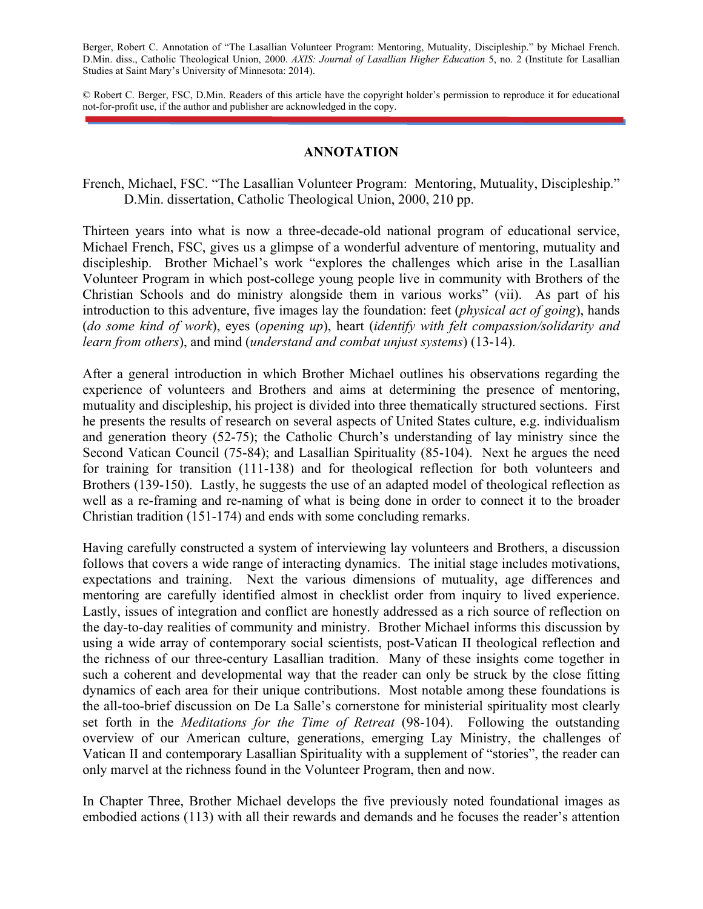Berger, Robert C. Annotation of "The Lasallian Volunteer Program: Mentoring, Mutuality, Discipleship." by Michael French. D.Min. diss., Catholic Theological Union, 2000. *AXIS: Journal of Lasallian Higher Education* 5, no. 2 (Institute for Lasallian Studies at Saint Mary's University of Minnesota: 2014).

© Robert C. Berger, FSC, D.Min. Readers of this article have the copyright holder's permission to reproduce it for educational not-for-profit use, if the author and publisher are acknowledged in the copy.

## **ANNOTATION**

French, Michael, FSC. "The Lasallian Volunteer Program: Mentoring, Mutuality, Discipleship." D.Min. dissertation, Catholic Theological Union, 2000, 210 pp.

Thirteen years into what is now a three-decade-old national program of educational service, Michael French, FSC, gives us a glimpse of a wonderful adventure of mentoring, mutuality and discipleship. Brother Michael's work "explores the challenges which arise in the Lasallian Volunteer Program in which post-college young people live in community with Brothers of the Christian Schools and do ministry alongside them in various works" (vii). As part of his introduction to this adventure, five images lay the foundation: feet (*physical act of going*), hands (*do some kind of work*), eyes (*opening up*), heart (*identify with felt compassion/solidarity and learn from others*), and mind (*understand and combat unjust systems*) (13-14).

After a general introduction in which Brother Michael outlines his observations regarding the experience of volunteers and Brothers and aims at determining the presence of mentoring, mutuality and discipleship, his project is divided into three thematically structured sections. First he presents the results of research on several aspects of United States culture, e.g. individualism and generation theory (52-75); the Catholic Church's understanding of lay ministry since the Second Vatican Council (75-84); and Lasallian Spirituality (85-104). Next he argues the need for training for transition (111-138) and for theological reflection for both volunteers and Brothers (139-150). Lastly, he suggests the use of an adapted model of theological reflection as well as a re-framing and re-naming of what is being done in order to connect it to the broader Christian tradition (151-174) and ends with some concluding remarks.

Having carefully constructed a system of interviewing lay volunteers and Brothers, a discussion follows that covers a wide range of interacting dynamics. The initial stage includes motivations, expectations and training. Next the various dimensions of mutuality, age differences and mentoring are carefully identified almost in checklist order from inquiry to lived experience. Lastly, issues of integration and conflict are honestly addressed as a rich source of reflection on the day-to-day realities of community and ministry. Brother Michael informs this discussion by using a wide array of contemporary social scientists, post-Vatican II theological reflection and the richness of our three-century Lasallian tradition. Many of these insights come together in such a coherent and developmental way that the reader can only be struck by the close fitting dynamics of each area for their unique contributions. Most notable among these foundations is the all-too-brief discussion on De La Salle's cornerstone for ministerial spirituality most clearly set forth in the *Meditations for the Time of Retreat* (98-104). Following the outstanding overview of our American culture, generations, emerging Lay Ministry, the challenges of Vatican II and contemporary Lasallian Spirituality with a supplement of "stories", the reader can only marvel at the richness found in the Volunteer Program, then and now.

In Chapter Three, Brother Michael develops the five previously noted foundational images as embodied actions (113) with all their rewards and demands and he focuses the reader's attention